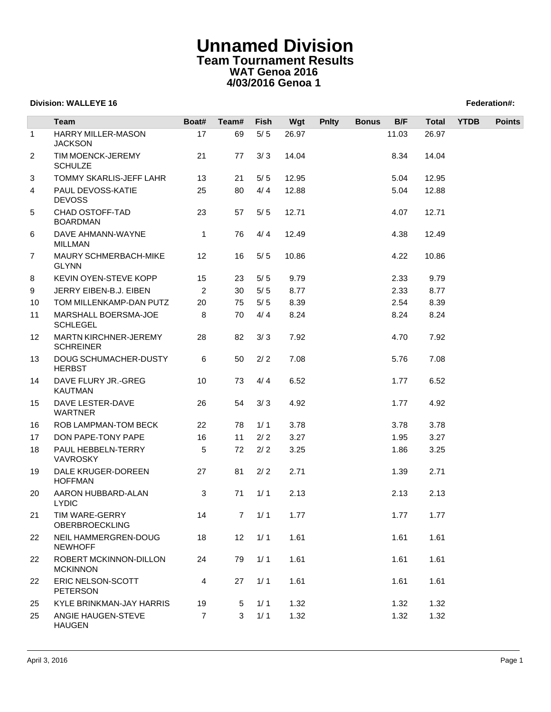## **Unnamed Division Team Tournament Results WAT Genoa 2016 4/03/2016 Genoa 1**

## **Division: WALLEYE 16 Federation#:**

|                 | Team                                             | Boat#          | Team# | <b>Fish</b> | Wgt   | <b>Pnlty</b> | <b>Bonus</b> | B/F   | <b>Total</b> | <b>YTDB</b> | <b>Points</b> |
|-----------------|--------------------------------------------------|----------------|-------|-------------|-------|--------------|--------------|-------|--------------|-------------|---------------|
| $\mathbf 1$     | <b>HARRY MILLER-MASON</b>                        | 17             | 69    | $5/5$       | 26.97 |              |              | 11.03 | 26.97        |             |               |
|                 | <b>JACKSON</b>                                   |                |       |             |       |              |              |       |              |             |               |
| $\overline{2}$  | TIM MOENCK-JEREMY<br><b>SCHULZE</b>              | 21             | 77    | 3/3         | 14.04 |              |              | 8.34  | 14.04        |             |               |
| 3               | TOMMY SKARLIS-JEFF LAHR                          | 13             | 21    | 5/5         | 12.95 |              |              | 5.04  | 12.95        |             |               |
| 4               | PAUL DEVOSS-KATIE<br><b>DEVOSS</b>               | 25             | 80    | 4/4         | 12.88 |              |              | 5.04  | 12.88        |             |               |
| 5               | CHAD OSTOFF-TAD<br><b>BOARDMAN</b>               | 23             | 57    | $5/5$       | 12.71 |              |              | 4.07  | 12.71        |             |               |
| 6               | DAVE AHMANN-WAYNE<br><b>MILLMAN</b>              | $\mathbf{1}$   | 76    | 4/4         | 12.49 |              |              | 4.38  | 12.49        |             |               |
| $\overline{7}$  | MAURY SCHMERBACH-MIKE<br><b>GLYNN</b>            | 12             | 16    | 5/5         | 10.86 |              |              | 4.22  | 10.86        |             |               |
| 8               | KEVIN OYEN-STEVE KOPP                            | 15             | 23    | 5/5         | 9.79  |              |              | 2.33  | 9.79         |             |               |
| 9               | JERRY EIBEN-B.J. EIBEN                           | 2              | 30    | $5/5$       | 8.77  |              |              | 2.33  | 8.77         |             |               |
| 10              | TOM MILLENKAMP-DAN PUTZ                          | 20             | 75    | 5/5         | 8.39  |              |              | 2.54  | 8.39         |             |               |
| 11              | MARSHALL BOERSMA-JOE<br><b>SCHLEGEL</b>          | 8              | 70    | 4/4         | 8.24  |              |              | 8.24  | 8.24         |             |               |
| 12 <sup>°</sup> | <b>MARTN KIRCHNER-JEREMY</b><br><b>SCHREINER</b> | 28             | 82    | 3/3         | 7.92  |              |              | 4.70  | 7.92         |             |               |
| 13              | <b>DOUG SCHUMACHER-DUSTY</b><br><b>HERBST</b>    | 6              | 50    | $2/2$       | 7.08  |              |              | 5.76  | 7.08         |             |               |
| 14              | DAVE FLURY JR.-GREG<br><b>KAUTMAN</b>            | 10             | 73    | 4/4         | 6.52  |              |              | 1.77  | 6.52         |             |               |
| 15              | DAVE LESTER-DAVE<br><b>WARTNER</b>               | 26             | 54    | 3/3         | 4.92  |              |              | 1.77  | 4.92         |             |               |
| 16              | ROB LAMPMAN-TOM BECK                             | 22             | 78    | 1/1         | 3.78  |              |              | 3.78  | 3.78         |             |               |
| 17              | DON PAPE-TONY PAPE                               | 16             | 11    | 2/2         | 3.27  |              |              | 1.95  | 3.27         |             |               |
| 18              | PAUL HEBBELN-TERRY<br><b>VAVROSKY</b>            | 5              | 72    | 2/2         | 3.25  |              |              | 1.86  | 3.25         |             |               |
| 19              | DALE KRUGER-DOREEN<br><b>HOFFMAN</b>             | 27             | 81    | 2/2         | 2.71  |              |              | 1.39  | 2.71         |             |               |
| 20              | AARON HUBBARD-ALAN<br><b>LYDIC</b>               | 3              | 71    | 1/1         | 2.13  |              |              | 2.13  | 2.13         |             |               |
| 21              | TIM WARE-GERRY<br><b>OBERBROECKLING</b>          | 14             |       | $7 \t1/1$   | 1.77  |              |              | 1.77  | 1.77         |             |               |
| 22              | NEIL HAMMERGREN-DOUG<br><b>NEWHOFF</b>           | 18             | 12    | 1/1         | 1.61  |              |              | 1.61  | 1.61         |             |               |
| 22              | ROBERT MCKINNON-DILLON<br><b>MCKINNON</b>        | 24             | 79    | 1/1         | 1.61  |              |              | 1.61  | 1.61         |             |               |
| 22              | ERIC NELSON-SCOTT<br>PETERSON                    | 4              | 27    | $1/1$       | 1.61  |              |              | 1.61  | 1.61         |             |               |
| 25              | KYLE BRINKMAN-JAY HARRIS                         | 19             | 5     | 1/1         | 1.32  |              |              | 1.32  | 1.32         |             |               |
| 25              | ANGIE HAUGEN-STEVE<br><b>HAUGEN</b>              | $\overline{7}$ | 3     | 1/1         | 1.32  |              |              | 1.32  | 1.32         |             |               |
|                 |                                                  |                |       |             |       |              |              |       |              |             |               |